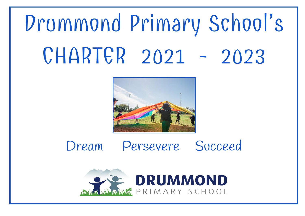# Drummond Primary School's CHARTER 2021 - 2023



## Dream Persevere Succeed

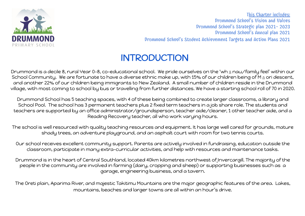

This Charter includes: Drummond School's Vision and Values Drummond School's Strategic plan 2021- 2023 Drummond School's Annual plan 2021 Drummond School's Student Achievement Targets and Action Plans 2021

## **INTRODUCTION**

Drummond is a decile 8, rural Year 0-8, co-educational school. We pride ourselves on the 'wh  $\bar{a}$  nau/family feel' within our School Community. We are fortunate to have a diverse ethnic make up, with 15% of our children being of M $_{\bar{a}}$  ori descent, and another 22% of our children being immigrants to New Zealand. A small number of children reside in the Drummond village, with most coming to school by bus or travelling from further distances. We have a starting school roll of 70 in 2020.

Drummond School has 5 teaching spaces, with 4 of these being combined to create larger classrooms, a library and School Pool. The school has 3 permanent teachers plus 2 fixed term teachers in a job share role. The students and teachers are supported by an office administrator/groundsperson, teacher aide/cleaner, 1 other teacher aide, and a Reading Recovery teacher, all who work varying hours.

The school is well resourced with quality teaching resources and equipment. It has large well cared for grounds, mature shady trees, an adventure playground, and an asphalt court with room for two tennis courts.

Our school receives excellent community support. Parents are actively involved in fundraising, education outside the classroom, participate in many extra-curricular activities, and help with resources and maintenance tasks.

Drummond is in the heart of Central Southland, located 40km kilometres northwest of Invercargill. The majority of the people in the community are involved in farming (dairy, cropping and sheep) or supporting businesses such as a garage, engineering business, and a tavern.

The Oreti plain, Aparima River, and majestic Takitimu Mountains are the major geographic features of the area. Lakes, mountains, beaches and larger towns are all within an hour's drive.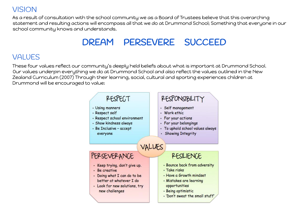#### VISION

As a result of consultation with the school community we as a Board of Trustees believe that this overarching statement and resulting actions will encompass all that we do at Drummond School; Something that everyone in our school community knows and understands.

## DREAM PERSEVERE SUCCEED

#### VALUES

These four values reflect our community's deeply held beliefs about what is important at Drummond School. Our values underpin everything we do at Drummond School and also reflect the values outlined in the New Zealand Curriculum (2007) Through their learning, social, cultural and sporting experiences children at Drummond will be encouraged to value:

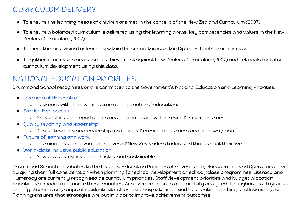#### CURRICULUM DELIVERY

- To ensure the learning needs of children are met in the context of the New Zealand Curriculum (2007)
- To ensure a balanced curriculum is delivered using the learning areas, key competencies and values in the New Zealand Curriculum (2007)
- To meet the local vision for learning within the school through the Dipton School Curriculum plan
- To gather information and assess achievement against New Zealand Curriculum (2007) and set goals for future curriculum development using this data.

#### NATIONAL EDUCATION PRIORITIES

Drummond School recognises and is committed to the Government's National Education and Learning Priorities:

- Learners at the centre
	- $\circ$  Learners with their wh $\bar{a}$  nau are at the centre of education.
- Barrier-free access
	- Great education opportunities and outcomes are within reach for every learner.
- Quality teaching and leadership
	- $\circ$  Quality teaching and leadership make the difference for learners and their wh $\bar{a}$  nau.
- Future of learning and work
	- Learning that is relevant to the lives of New Zealanders today and throughout their lives.
- World-class inclusive public education
	- New Zealand education is trusted and sustainable.

Drummond School contributes to the National Education Priorities at Governance, Management and Operational levels by giving them full consideration when planning for school development or school/class programmes. Literacy and Numeracy are currently recognised as curriculum priorities. Staff development priorities and budget allocation priorities are made to resource these priorities. Achievement results are carefully analysed throughout each year to identify students or groups of students at risk or requiring extension and to prioritise teaching and learning goals. Planning ensures that strategies are put in place to improve achievement outcomes.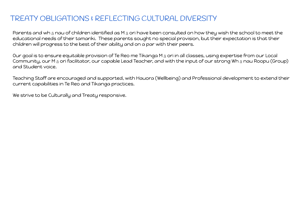#### TREATY OBLIGATIONS & REFLECTING CULTURAL DIVERSITY

Parents and wh $\bar{a}$  nau of children identified as M $\bar{a}$  ori have been consulted on how they wish the school to meet the educational needs of their tamariki. These parents sought no special provision, but their expectation is that their children will progress to the best of their ability and on a par with their peers.

Our goal is to ensure equitable provision of Te Reo me Tikanga M $_{\bar{a}}$  ori in all classes, using expertise from our Local Community, our M<sub>ā</sub> ori facilitator, our capable Lead Teacher, and with the input of our strong Wh<sub>ā</sub>nau Roopu (Group) and Student voice.

Teaching Staff are encouraged and supported, with Hauora (Wellbeing) and Professional development to extend their current capabilities in Te Reo and Tikanga practices.

We strive to be Culturally and Treaty responsive.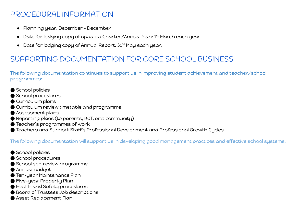#### PROCEDURAL INFORMATION

- Planning year: December December
- Date for lodging copy of updated Charter/Annual Plan: 1<sup>st</sup> March each year.
- Date for lodging copy of Annual Report: 31<sup>st</sup> May each year.

#### SUPPORTING DOCUMENTATION FOR CORE SCHOOL BUSINESS

The following documentation continues to support us in improving student achievement and teacher/school programmes:

- School policies
- School procedures
- Curriculum plans
- Curriculum review timetable and programme
- Assessment plans
- Reporting plans (to parents, BOT, and community)
- Teacher's programmes of work
- Teachers and Support Staff's Professional Development and Professional Growth Cycles

The following documentation will support us in developing good management practices and effective school systems:

- School policies
- School procedures
- School self-review programme
- Annual budget
- Ten-year Maintenance Plan
- Five-year Property Plan
- Health and Safety procedures
- Board of Trustees Job descriptions
- Asset Replacement Plan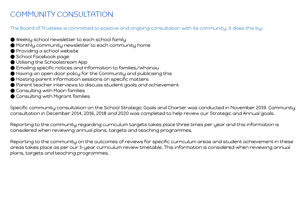#### COMMUNITY CONSULTATION

The Board of Trustees is committed to positive and ongoing consultation with its community. It does this by:

- $\bullet$  Weekly school newsletter to each school family
- Monthly community newsletter to each community home
- Providing a school website
- School Facebook page
- Utilising the Schoolstream App
- Emailing specific notices and information to families/whanau
- Having an open door policy for the Community and publicising this
- Hosting parent information sessions on specific matters
- Parent teacher interviews to discuss student goals and achievement
- Consulting with Maori families
- Consulting with Migrant families

Specific community consultation on the School Strategic Goals and Charter was conducted in November 2019. Community consultation in December 2014, 2016, 2018 and 2020 was completed to help review our Strategic and Annual goals.

Reporting to the community regarding curriculum targets takes place three times per year and this information is considered when reviewing annual plans, targets and teaching programmes.

Reporting to the community on the outcomes of reviews for specific curriculum areas and student achievement in these areas takes place as per our 3-year curriculum review timetable. This information is considered when reviewing annual plans, targets and teaching programmes.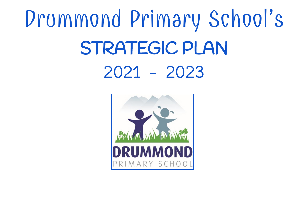# Drummond Primary School's STRATEGIC PLAN 2021 - 2023

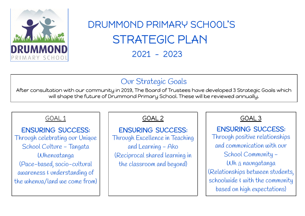

## DRUMMOND PRIMARY SCHOOL'S STRATEGIC PLAN 2021 - 2023

### Our Strategic Goals

After consultation with our community in 2019, The Board of Trustees have developed 3 Strategic Goals which will shape the future of Drummond Primary School. These will be reviewed annually.

#### GOAL 1

ENSURING SUCCESS: Through celebrating our Unique School Culture - Tangata Whenuatanga (Pace-based, socio-cultural awareness & understanding of the whenua/land we come from) GOAL 2

ENSURING SUCCESS: Through Excellence in Teaching and Learning - Ako (Reciprocal shared learning in the classroom and beyond)

#### GOAL 3

ENSURING SUCCESS: Through positive relationships and communication with our School Community - Wh $\bar{a}$  naungatanga (Relationships between students, schoolwide  $\epsilon$  with the community based on high expectations)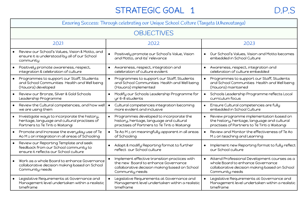## STRATEGIC GOAL 1 D.P.S

| Ensuring Success: Through celebrating our Unique School Culture (Tangata Whenuatanga)                                            |                                                                                                                                                          |                                                                                                                                                                    |  |  |  |
|----------------------------------------------------------------------------------------------------------------------------------|----------------------------------------------------------------------------------------------------------------------------------------------------------|--------------------------------------------------------------------------------------------------------------------------------------------------------------------|--|--|--|
|                                                                                                                                  | <b>OBJECTIVES</b>                                                                                                                                        |                                                                                                                                                                    |  |  |  |
| 2021                                                                                                                             | 2022                                                                                                                                                     | 2023                                                                                                                                                               |  |  |  |
| Review our School's Values, Vision & Motto, and<br>ensure it is understood by all of our School<br>community                     | Positively promote our School's Value, Vision<br>and Motto, and its' relevance                                                                           | Our School's Values, Vision and Motto becomes<br>$\bullet$<br>embedded in School Culture                                                                           |  |  |  |
| Positively promote awareness, respect,<br>integration & celebration of culture                                                   | Awareness, respect, integration and<br>$\bullet$<br>celebration of culture evident                                                                       | Awareness, respect, integration and<br>$\bullet$<br>celebration of culture embedded                                                                                |  |  |  |
| Programmes to support our Staff, Students<br>and School Communities Health and Well being<br>(Hauora) developed                  | Programmes to support our Staff, Students<br>and School Communities Health and Well being<br>(Hauora) implemented                                        | Programmes to support our Staff, Students<br>and School Communities Health and Well being<br>(Hauora) maintained                                                   |  |  |  |
| Review our Bronze, Silver & Gold Schools<br>$\bullet$<br>Leadership Programme                                                    | Modify our Schools Leadership Programme for<br>yr 6-8 students                                                                                           | Schools Leadership Programme reflects Local<br>curriculum focus                                                                                                    |  |  |  |
| Review the Cultural competencies, and how well<br>we are using them                                                              | Cultural competencies integration becoming<br>more evident and inclusive                                                                                 | Ensure Cultural competencies are fully<br>embedded in School Culture                                                                                               |  |  |  |
| Investigate ways to incorporate the history,<br>heritage, language and cultural practises of<br>Partners to Te Tiriti o Waitangi | Programmes developed to incorporate the<br>$\bullet$<br>history, heritage, language and cultural<br>practises of Partners to Te Tiriti o Waitangi        | Review programme implementation based on<br>the history, heritage, language and cultural<br>practises of Partners to Te Tiriti o Waitangi                          |  |  |  |
| Promote and Increase the everyday use of Te<br>$\bullet$<br>Ao M ā ori integration in all areas of Schooling                     | Te Ao M ā ori meaningfully apparent in all areas<br>of Schooling                                                                                         | Review and Monitor the effectiveness of Te Ao<br>M ā ori teaching and Learning                                                                                     |  |  |  |
| Review our Reporting Template and seek<br>feedback from our School community to<br>ensure it reflects our School culture         | • Adapt & modify Reporting format to further<br>reflect our School culture                                                                               | Implement new Reporting format to fully reflect<br>our School culture                                                                                              |  |  |  |
| Work as a whole Board to enhance Governance<br>collaborative decision making based on School<br>Community needs                  | Implement effective transition practices with<br>the new Board to enhance Governance<br>collaborative decision making based on School<br>Community needs | Attend Professional Development courses as a<br>$\bullet$<br>whole Board to enhance Governance<br>collaborative decision making based on School<br>Community needs |  |  |  |
| Legislative Requirements at Governance and<br>Management level undertaken within a realistic<br>timeframe                        | Legislative Requirements at Governance and<br>Management level undertaken within a realistic<br>timeframe                                                | Legislative Requirements at Governance and<br>Management level undertaken within a realistic<br>timeframe                                                          |  |  |  |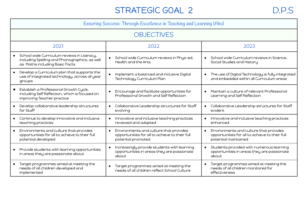## STRATEGIC GOAL 2 D.P.S

|                                                                                                                                             | Ensuring Success: Through Excellence in Teaching and Learning (Ako)                                            |                                                                                                                  |  |  |  |  |
|---------------------------------------------------------------------------------------------------------------------------------------------|----------------------------------------------------------------------------------------------------------------|------------------------------------------------------------------------------------------------------------------|--|--|--|--|
|                                                                                                                                             | <b>OBJECTIVES</b>                                                                                              |                                                                                                                  |  |  |  |  |
| 2021                                                                                                                                        | 2022                                                                                                           | 2023                                                                                                             |  |  |  |  |
| School wide Curriculum reviews in Literacy,<br>$\bullet$<br>including Spelling and Phonographics, as well<br>as Maths including Basic Facts | School wide Curriculum reviews in Phys-ed,<br>Health and the Arts                                              | School wide Curriculum reviews in Science,<br>$\bullet$<br>Social Studies and History                            |  |  |  |  |
| Develop a Curriculum plan that supports the<br>use of integrated technology, across all year<br>groups                                      | Implement a balanced and inclusive Digital<br>$\bullet$<br>Technology Curriculum Plan                          | The use of Digital Technology is fully integrated<br>$\bullet$<br>and embedded within all Curriculum areas       |  |  |  |  |
| Establish a Professional Growth Cycle,<br>including Self Reflection, which is focused on<br>improving Teacher practice                      | Encourage and facilitate opportunities for<br>Professional Growth and Self Reflection                          | Maintain a culture of relevant Professional<br>Learning and Self Reflection                                      |  |  |  |  |
| Develop collaborative leadership structures<br>$\bullet$<br>for Staff                                                                       | Collaborative Leadership structures for Staff<br>$\bullet$<br>evolving                                         | Collaborative Leadership structures for Staff<br>$\bullet$<br>evident                                            |  |  |  |  |
| Continue to develop innovative and inclusive<br>$\bullet$<br>teaching practices                                                             | Innovative and inclusive teaching practices<br>$\bullet$<br>reviewed and adapted                               | Innovative and inclusive teaching practices<br>enhanced                                                          |  |  |  |  |
| Environments and culture that provides<br>opportunities for all to achieve to their full<br>potential developed                             | Environments and culture that provides<br>opportunities for all to achieve to their full<br>potential promoted | Environments and culture that provides<br>opportunities for all to achieve to their full<br>potential maintained |  |  |  |  |
| Provide students with learning opportunities<br>$\bullet$<br>in areas they are passionate about                                             | Increasingly provide students with learning<br>opportunities in areas they are passionate<br>about             | Students provided with numerous learning<br>opportunities in areas they are passionate<br>about                  |  |  |  |  |
| Target programmes aimed at meeting the<br>$\bullet$<br>needs of all children developed and<br>implemented                                   | Target programmes aimed at meeting the<br>needs of all children reflect School Culture                         | Target programmes aimed at meeting the<br>needs of all children monitored for<br>effectiveness                   |  |  |  |  |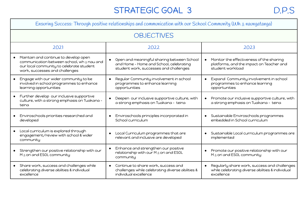## STRATEGIC GOAL 3 D.P.S

|           | Ensuring Success: Through positive relationships and communication with our School Community (Wh a naungatanga)                                                   |           |                                                                                                                                 |  |                                                                                                                |  |  |  |
|-----------|-------------------------------------------------------------------------------------------------------------------------------------------------------------------|-----------|---------------------------------------------------------------------------------------------------------------------------------|--|----------------------------------------------------------------------------------------------------------------|--|--|--|
|           |                                                                                                                                                                   |           | <b>OBJECTIVES</b>                                                                                                               |  |                                                                                                                |  |  |  |
|           | 2021                                                                                                                                                              |           | 2022                                                                                                                            |  | 2023                                                                                                           |  |  |  |
|           | Maintain and continue to develop open<br>communication between school, wh a nau and<br>our local community to celebrate student<br>work, successes and challenges |           | Open and meaningful sharing between School<br>and Home - Home and School, celebrating<br>student work, successes and challenges |  | • Monitor the effectiveness of the sharing<br>platforms, and the impact on Teacher and<br>student workload     |  |  |  |
|           | Engage with our wider community to be<br>involved in school programmes to enhance<br>learning opportunities                                                       | $\bullet$ | Regular Community involvement in school<br>programmes to enhance learning<br>opportunities                                      |  | • Expand Community involvement in school<br>programmes to enhance learning<br>opportunities                    |  |  |  |
|           | Further develop our inclusive supportive<br>culture, with a strong emphasis on Tuakana -<br>teina                                                                 |           | Deepen our inclusive supportive culture, with<br>a strong emphasis on Tuakana - teina                                           |  | • Promote our inclusive supportive culture, with<br>a strong emphasis on Tuakana - teina                       |  |  |  |
|           | Enviroschools priorities researched and<br>developed                                                                                                              |           | Enviroschools principles incorporated in<br>School curriculum                                                                   |  | · Sustainable Enviroschools programmes<br>embedded in School curriculum                                        |  |  |  |
|           | Local curriculum is explored through<br>engagement/review with school & wider<br>community                                                                        |           | Local Curriculum programmes that are<br>relevant and inclusive are developed                                                    |  | · Sustainable Local curriculum programmes are<br>implemented                                                   |  |  |  |
|           | Strengthen our positive relationship with our<br>M a ori and ESOL community                                                                                       |           | Enhance and strengthen our positive<br>relationship with our M a ori and ESOL<br>community                                      |  | Promote our positive relationship with our<br>M a ori and ESOL community                                       |  |  |  |
| $\bullet$ | Share work, success and challenges while<br>celebrating diverse abilities & individual<br>excellence                                                              |           | • Continue to share work, success and<br>challenges while celebrating diverse abilities &<br>individual excellence              |  | Regularly share work, success and challenges<br>while celebrating diverse abilities & individual<br>excellence |  |  |  |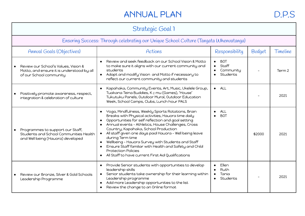### ANNUAL PLAN D.P.S

| Strategic Goal 1                                                                                                |                                                                                                                                                                                                                                                                                                                                                                                                                                                                                                                                                                                      |                                                           |               |          |  |
|-----------------------------------------------------------------------------------------------------------------|--------------------------------------------------------------------------------------------------------------------------------------------------------------------------------------------------------------------------------------------------------------------------------------------------------------------------------------------------------------------------------------------------------------------------------------------------------------------------------------------------------------------------------------------------------------------------------------|-----------------------------------------------------------|---------------|----------|--|
| Ensuring Success: Through celebrating our Unique School Culture (Tangata Whenuatanga)                           |                                                                                                                                                                                                                                                                                                                                                                                                                                                                                                                                                                                      |                                                           |               |          |  |
| <b>Annual Goals (Objectives)</b>                                                                                | Actions                                                                                                                                                                                                                                                                                                                                                                                                                                                                                                                                                                              | Responsibility                                            | <b>Budget</b> | Timeline |  |
| Review our School's Values, Vision &<br>Motto, and ensure it is understood by all<br>of our School community    | Review and seek feedback on our School Vision & Motto<br>$\bullet$<br>to make sure it aligns with our current community and<br>students<br>Adapt and modify Vision and Motto if necessary to<br>reflect our current community and students                                                                                                                                                                                                                                                                                                                                           | <b>BOT</b><br>$\bullet$<br>Staff<br>Community<br>Students |               | Term 2   |  |
| Positively promote awareness, respect,<br>integration & celebration of culture                                  | Kapahaka, Community Events, Art, Music, Ukelele Group,<br>$\bullet$<br>Tuakana Teina Buddies, K e mu (Games), 'House'<br>Tukutuku Panels, Outdoor Mural, Outdoor Education<br>Week, School Camps, Clubs, Lunch hour PALS                                                                                                                                                                                                                                                                                                                                                             | ALL<br>$\bullet$                                          |               | 2021     |  |
| Programmes to support our Staff,<br>Students and School Communities Health<br>and Well being (Hauora) developed | Yoga, Mindfulness, Weekly Sports Rotations, Brain<br>$\bullet$<br>Breaks with Physical activities, Hauora time daily<br>Opportunities for self reflection and goal setting<br>$\bullet$<br>Annual events - Athletics, House Challenges, Cross<br>Country, Kapahaka, School Production<br>All staff given one days paid Hauora - Well being leave<br>$\bullet$<br>during Term time<br>Wellbeing - Hauora Survey with Students and Staff<br>Ensure Staff familiar with Health and Safety and Child<br><b>Protection Policies</b><br>All Staff to have current First Aid Qualifications | ALL<br><b>BOT</b>                                         | \$2000        | 2021     |  |
| Review our Bronze, Silver & Gold Schools<br>Leadership Programme                                                | Provide Senior students with opportunities to develop<br>$\bullet$<br>leadership skills<br>Senior students take ownership for their learning within<br>$\bullet$<br>Leadership programme<br>Add more Leadership opportunities to the list<br>Review the change to an Online format                                                                                                                                                                                                                                                                                                   | Ellen<br>Ruth<br>Tania<br>Students<br>$\bullet$           |               | 2021     |  |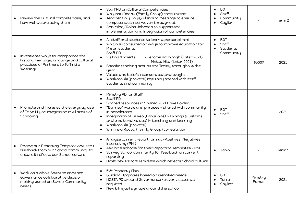| Review the Cultural competencies, and<br>how well we are using them                                                                 | Staff PD on Cultural Competencies<br>$\bullet$<br>Wh a nau Roopu (Family Group) consultation<br>$\bullet$<br>Teacher Only Days/Planning Meetings to ensure<br>competencies interwoven throughout<br>Ann Milne/Raiha Johnson to support the<br>$\bullet$<br>implementation and Integration of competencies                                                                                                                                                                                                 | <b>BOT</b><br>Staff<br>Community<br>Caylieh  |                          | Term 2 |
|-------------------------------------------------------------------------------------------------------------------------------------|-----------------------------------------------------------------------------------------------------------------------------------------------------------------------------------------------------------------------------------------------------------------------------------------------------------------------------------------------------------------------------------------------------------------------------------------------------------------------------------------------------------|----------------------------------------------|--------------------------|--------|
| Investigate ways to incorporate the<br>history, heritage, language and cultural<br>practises of Partners to Te Tiriti o<br>Waitangi | All staff and students to learn a personal mihi<br>Wh $\bar{a}$ nau consulted on ways to improve education for<br>$\bullet$<br>$M_{\bar{a}}$ ori students<br>Staff PD<br>Visiting 'Experts'<br>- Jerome Kavanagh (Later 2021)<br>$\bullet$<br>- Matua Hita (Later 2021)<br>Specific teaching around the Treaty throughout the<br>$\bullet$<br>year<br>Values and beliefs incorporated and taught<br>$\bullet$<br>Whakatouki (proverb) regularly shared with staff,<br>$\bullet$<br>students and community | <b>BOT</b><br>Staff<br>Students<br>Community | \$500?                   | 2021   |
| Promote and Increase the everyday use<br>of Te Ao M a ori integration in all areas of<br>Schooling                                  | Ministry PD for Staff<br>$\bullet$<br>Staff PD<br>$\bullet$<br>Shared resources in Shared 2021 Drive Folder<br>"Banned' words and phrases - shared with community<br>in newsletters<br>Integration of Te Reo (Language) & Tikanga (Customs<br>and traditional values) in teaching and learning<br>Whakatouki (proverb)<br>$\bullet$<br>Wh a nau Roopu (Family Group) consultation<br>$\bullet$                                                                                                            | <b>BOT</b><br>Staff                          |                          | 2021   |
| Review our Reporting Template and seek<br>feedback from our School community to<br>ensure it reflects our School culture            | Analyse current report format -Positives. Negatives,<br>$\bullet$<br>Interesting (PNI)<br>Ask local schools for their Reporting Templates - PNI<br>Survey School Community for feedback on current<br>$\bullet$<br>reporting<br>Draft new Report Template which reflects School culture                                                                                                                                                                                                                   | Tania                                        |                          | Term 1 |
| Work as a whole Board to enhance<br>Governance collaborative decision<br>making based on School Community<br>needs                  | 5Yr Property Plan<br>$\bullet$<br>Building Upgrades based on identified needs<br>NZSTA PD around Governance relevant issues as<br>$\bullet$<br>required<br>New bilingual signage around the school<br>$\bullet$                                                                                                                                                                                                                                                                                           | <b>BOT</b><br>Tania<br>Caylieh               | Ministry<br><b>Funds</b> | 2021   |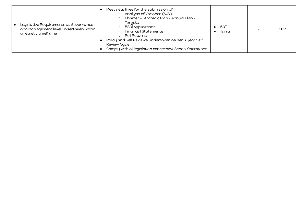| Legislative Requirements at Governance<br>and Management level undertaken within<br>a realistic timeframe | Meet deadlines for the submission of<br>Analysis of Variance (AOV)<br>Charter - Strategic Plan - Annual Plan -<br>$\circ$<br>Targets<br><b>ESOI Applications</b><br><b>Financial Statements</b><br>Roll Returns<br>Policy and Self Reviews undertaken as per 3 year Self<br>Review Cycle<br>Comply with all legislation concerning School Operations | BOT<br>Tania |  | 2021 |
|-----------------------------------------------------------------------------------------------------------|------------------------------------------------------------------------------------------------------------------------------------------------------------------------------------------------------------------------------------------------------------------------------------------------------------------------------------------------------|--------------|--|------|
|-----------------------------------------------------------------------------------------------------------|------------------------------------------------------------------------------------------------------------------------------------------------------------------------------------------------------------------------------------------------------------------------------------------------------------------------------------------------------|--------------|--|------|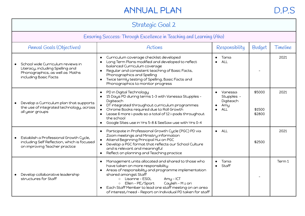## ANNUAL PLAN D.P.S

| Strategic Goal 2                                                                                                                  |                                                                                                                                                                                                                                                                                                                                                                                                            |                                                  |                            |        |  |  |  |
|-----------------------------------------------------------------------------------------------------------------------------------|------------------------------------------------------------------------------------------------------------------------------------------------------------------------------------------------------------------------------------------------------------------------------------------------------------------------------------------------------------------------------------------------------------|--------------------------------------------------|----------------------------|--------|--|--|--|
| Ensuring Success: Through Excellence in Teaching and Learning (Ako)                                                               |                                                                                                                                                                                                                                                                                                                                                                                                            |                                                  |                            |        |  |  |  |
| <b>Annual Goals (Objectives)</b><br>Responsibility<br>Budget<br>Timeline<br>Actions                                               |                                                                                                                                                                                                                                                                                                                                                                                                            |                                                  |                            |        |  |  |  |
| School wide Curriculum reviews in<br>Literacy, including Spelling and<br>Phonographics, as well as Maths<br>including Basic Facts | Curriculum coverage checklist developed<br>$\bullet$<br>Long Term Plans modified and developed to reflect<br>balanced Curriculum coverage<br>Regular and consistent teaching of Basic Facts,<br>Phonographics and Spelling<br>Twice termly testing of Spelling, Basic Facts and<br>$\bullet$<br>Phonographics to monitor progress                                                                          | Tania<br>ALL                                     |                            | 2021   |  |  |  |
| Develop a Curriculum plan that supports<br>the use of integrated technology, across<br>all year groups                            | PD in Digital Technology<br>$\bullet$<br>15 Days PD during terms 1-3 with Vanessa Stupples -<br>Digiteach<br>DT integrated throughout curriculum programmes<br>Chrome Books required due to Roll Growth<br>Lease 6 more i-pads so a total of 12 i-pads throughout<br>the school<br>Google Sites use in Yrs 5-8 & SeeSaw use with Yrs 0-4<br>$\bullet$                                                      | Vanessa<br>Stupples -<br>Digiteach<br>Amy<br>ALL | \$5000<br>\$1500<br>\$2800 | 2021   |  |  |  |
| Establish a Professional Growth Cycle,<br>including Self Reflection, which is focused<br>on improving Teacher practice            | Participate in Professional Growth Cycle (PGC) PD via<br>$\bullet$<br>Zoom meetings and Ministry information<br>Attend Beginning Principal Hui on PGC<br>Develop a PGC format that reflects our School Culture<br>and is relevant and meaningful<br>Reflect on planning and Teaching practice<br>$\bullet$                                                                                                 | ALL<br>$\bullet$                                 | \$2500                     | 2021   |  |  |  |
| Develop collaborative leadership<br>structures for Staff                                                                          | Management units allocated and shared to those who<br>$\bullet$<br>have taken on more responsibility<br>Areas of responsibility and programme implementation<br>shared amongst Staff<br>Amy - ICT<br>Lisanne – ESOL<br>$\circ$<br>Caylieh - M ā ori<br>Ellen - PE/Sport<br>$\circ$<br>Each Staff Member to lead one staff meeting on an area<br>of interest/need - Report on Individual PD taken for staff | Tania<br>Staff<br>$\bullet$                      |                            | Term 1 |  |  |  |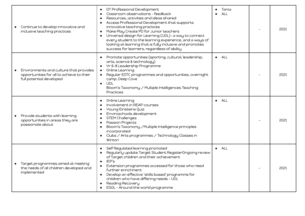| Continue to develop innovative and<br>inclusive teaching practices                                              | DT Professional Development<br>$\bullet$<br>Classroom observations - feedback<br>$\bullet$<br>Resources, activities and ideas shared<br>Access Professional Development that supports<br>innovative teaching practices<br>Make Play Create PD for Junior teachers<br>Universal design for Learning (UDL)- a way to connect<br>every student to the learning experience, and a ways of<br>looking at learning that is fully inclusive and promotes<br>success for learners, regardless of ability | Tania<br>ALL<br>$\bullet$ | 2021 |
|-----------------------------------------------------------------------------------------------------------------|--------------------------------------------------------------------------------------------------------------------------------------------------------------------------------------------------------------------------------------------------------------------------------------------------------------------------------------------------------------------------------------------------------------------------------------------------------------------------------------------------|---------------------------|------|
| Environments and culture that provides<br>opportunities for all to achieve to their<br>full potential developed | Promote opportunities (sporting, cultural, leadership,<br>arts, science & technology)<br>Yr 6-8 Leadership Programme<br>$\bullet$<br>Online Learning<br>$\bullet$<br>Regular EOTC programmes and opportunities, overnight<br>camp, Deep Cove<br>UDL<br>$\bullet$<br>Bloom's Taxonomy / Multiple Intelligences Teaching<br>Practices                                                                                                                                                              | ALL<br>$\bullet$          | 2021 |
| Provide students with learning<br>$\bullet$<br>opportunities in areas they are<br>passionate about              | Online Learning<br>$\bullet$<br>Involvement in REAP courses<br>Young Einsteins Quiz<br>Enviroschools development<br>STEM Challenges<br>Passion Projects<br>Bloom's Taxonomy / Multiple Intelligence principles<br>incorporated<br>Clubs / Arts programmes / Technology Classes in<br>Winton                                                                                                                                                                                                      | ALL<br>$\bullet$          | 2021 |
| Target programmes aimed at meeting<br>the needs of all children developed and<br>implemented                    | Self Regulated learning promoted<br>Regularly update Target Student RegisterOngoing review<br>of Target children and their achievement<br>IEP's<br>$\bullet$<br>Extension programmes accessed for those who need<br>$\bullet$<br>further enrichment<br>Develop an effective 'skills based' programme for<br>children who have differing needs - UDL<br>Reading Recovery<br>ESOL - Around the world programme                                                                                     | $\bullet$ ALL             | 2021 |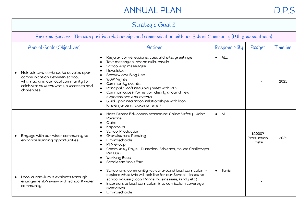## ANNUAL PLAN D.P.S

| Strategic Goal 3                                                                                                                                                             |                                                                                                                                                                                                                                                                                                                                                                                                                                                                                                                                   |                 |                                |          |  |
|------------------------------------------------------------------------------------------------------------------------------------------------------------------------------|-----------------------------------------------------------------------------------------------------------------------------------------------------------------------------------------------------------------------------------------------------------------------------------------------------------------------------------------------------------------------------------------------------------------------------------------------------------------------------------------------------------------------------------|-----------------|--------------------------------|----------|--|
| Ensuring Success: Through positive relationships and communication with our School Community (Wh a naungatanga)                                                              |                                                                                                                                                                                                                                                                                                                                                                                                                                                                                                                                   |                 |                                |          |  |
| <b>Annual Goals (Objectives)</b>                                                                                                                                             | Actions                                                                                                                                                                                                                                                                                                                                                                                                                                                                                                                           | Responsibility  | <b>Budget</b>                  | Timeline |  |
| Maintain and continue to develop open<br>communication between school,<br>wh $\bar{a}$ nau and our local community to<br>celebrate student work, successes and<br>challenges | Regular conversations, casual chats, greetings<br>$\bullet$<br>Text messages, phone calls, emails<br>$\bullet$<br>School App messages<br>$\bullet$<br>Newsletter<br>$\bullet$<br>Seesaw and Blog Use<br>$\bullet$<br><b>WOW Nights</b><br>$\bullet$<br>Community events<br>$\bullet$<br>Principal/Staff regularly meet with PTN<br>$\bullet$<br>Communicate information clearly around new<br>$\bullet$<br>expectations and events<br>Build upon reciprocal relationships with local<br>$\bullet$<br>Kindergarten (Tuakana Teina) | $\bullet$ ALL   |                                | 2021     |  |
| Engage with our wider community to<br>enhance learning opportunities                                                                                                         | Host Parent Education session re: Online Safety - John<br>$\bullet$<br>Parsons<br>Clubs<br>$\bullet$<br>Kapahaka<br>$\bullet$<br>School Production<br>$\bullet$<br>Grandparent Reading<br>$\bullet$<br>Enviroschools<br>$\bullet$<br>PTN Group<br>$\bullet$<br>Community Days - Duathlon, Athletics, House Challenges<br>$\bullet$<br>Pet Day<br><b>Working Bees</b><br>$\bullet$<br>Scholastic Book Fair                                                                                                                         | $\bullet$ $ALL$ | \$2000?<br>Production<br>Costs | 2021     |  |
| Local curriculum is explored through<br>engagement/review with school & wider<br>community                                                                                   | School and community review around local curriculum -<br>$\bullet$<br>explore what this will look like for our School - linked to<br>school values (Local Marae, businesses, kindy etc)<br>Incorporate local curriculum into curriculum coverage<br>overviews<br>Enviroschools<br>$\bullet$                                                                                                                                                                                                                                       | Tania           |                                |          |  |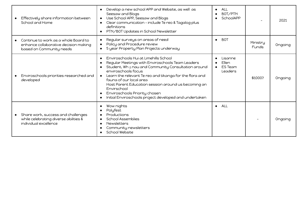| Effectively share information between<br>School and Home                                                  | Develop a new school APP and Website, as well as<br>$\bullet$<br>Seesaw and Blogs<br>Use School APP, Seesaw and Blogs<br>$\bullet$<br>Clear communication - include Te reo & Tagalog plus<br>definitions<br>PTN/BOT Updates in School Newsletter                                                                                                                                                                                                                                   | ALL<br>BOT/PTN<br>SchoolAPP<br>$\bullet$                          | $\overline{\phantom{0}}$ | 2021    |
|-----------------------------------------------------------------------------------------------------------|------------------------------------------------------------------------------------------------------------------------------------------------------------------------------------------------------------------------------------------------------------------------------------------------------------------------------------------------------------------------------------------------------------------------------------------------------------------------------------|-------------------------------------------------------------------|--------------------------|---------|
| Continue to work as a whole Board to<br>enhance collaborative decision making<br>based on Community needs | Regular surveys on areas of need<br>Policy and Procedure review<br>5 year Property Plan Projects underway                                                                                                                                                                                                                                                                                                                                                                          | <b>BOT</b><br>$\bullet$                                           | Ministry<br><b>Funds</b> | Ongoing |
| Enviroschools priorities researched and<br>developed                                                      | Enviroschools Hui at Limehills School<br>$\bullet$<br>Regular Meetings with Enviroschools Team Leaders<br>$\bullet$<br>Student, Wh a nau and Community Consultation around<br>enviroschools focus<br>Learn the relevant Te reo and tikanga for the flora and<br>fauna of our local area<br>Host Parent Education session around us becoming an<br>Envirschool<br>Enviroschools Priority chosen<br>$\bullet$<br>Initial Enviroschools project developed and undertaken<br>$\bullet$ | Lisanne<br>$\bullet$<br>Ellen<br><b>ES Team</b><br><b>Leaders</b> | \$1000?                  | Ongoing |
| Share work, success and challenges<br>while celebrating diverse abilities &<br>individual excellence      | Wow nights<br>$\bullet$<br>Polyfest<br>$\bullet$<br>Productions<br><b>School Assemblies</b><br><b>Newsletters</b><br>Community newsletters<br>School Website                                                                                                                                                                                                                                                                                                                       | ALL<br>$\bullet$                                                  |                          | Ongoing |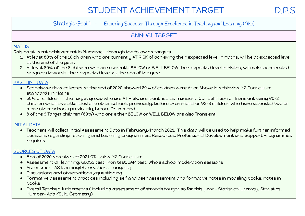## STUDENT ACHIEVEMENT TARGET

#### Strategic Goal 1 - Ensuring Success: Through Excellence in Teaching and Learning (Ako)

#### ANNUAL TARGET

#### **MATHS**

Raising student achievement in Numeracy through the following targets

- 1. At least 80% of the 16 children who are currently AT RISK of achieving their expected level in Maths, will be at expected level at the end of the year.
- 2. At least 80% of the 8 children who are currently BELOW or WELL BELOW their expected level in Maths, will make accelerated progress towards their expected level by the end of the year.

#### BASELINE DATA

- Schoolwide data collected at the end of 2020 showed 69% of children were At or Above in achieving NZ Curriculum standards in Maths
- 50% of children in the Target group who are AT RISK, are identified as Transient. Our definition of Transient being Y0-2 children who have attended one other schools previously, before Drummond or Y3-8 children who have attended two or more other schools previously, before Drummond
- 8 of the 9 Target children (89%) who are either BELOW or WELL BELOW are also Transient

#### INITIAL DATA

● Teachers will collect initial Assessment Data in February/March 2021. This data will be used to help make further informed decisions regarding Teaching and Learning programmes, Resources, Professional Development and Support Programmes required

#### SOURCES OF DATA

- End of 2020 and start of 2021 OTJ using NZ Curriculum
- Assessment OF learning: GLOSS test, IKan test, JAM test, Whole school moderation sessions
- Assessment AS learning:Observations ongoing
- Discussions and observations /questioning
- Formative assessment practices including self and peer assessment and formative notes in modeling books, notes in books
- Overall Teacher Judgements ( including assessment of strands taught so far this year Statistical Literacy, Statistics, Number- Add/Sub, Geometry)